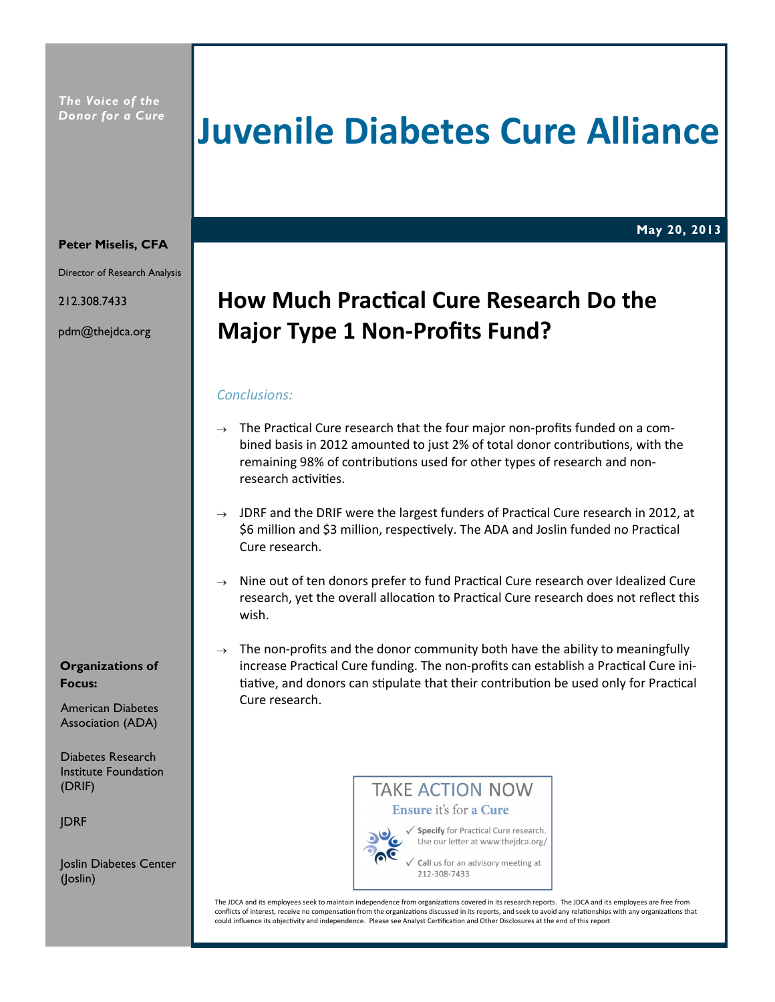# **Juvenile Diabetes Cure Alliance**

**May 20, 2013**

#### **Peter Miselis, CFA**

Director of Research Analysis

212.308.7433

pdm@thejdca.org

## **How Much Practical Cure Research Do the Major Type 1 Non-Profits Fund?**

#### *Conclusions:*

- $\rightarrow$  The Practical Cure research that the four major non-profits funded on a combined basis in 2012 amounted to just 2% of total donor contributions, with the remaining 98% of contributions used for other types of research and nonresearch activities.
- $\rightarrow$  JDRF and the DRIF were the largest funders of Practical Cure research in 2012, at \$6 million and \$3 million, respectively. The ADA and Joslin funded no Practical Cure research.
- $\rightarrow$  Nine out of ten donors prefer to fund Practical Cure research over Idealized Cure research, yet the overall allocation to Practical Cure research does not reflect this wish.
- $\rightarrow$  The non-profits and the donor community both have the ability to meaningfully increase Practical Cure funding. The non-profits can establish a Practical Cure initiative, and donors can stipulate that their contribution be used only for Practical Cure research.

#### **Organizations of Focus:**

American Diabetes Association (ADA)

Diabetes Research Institute Foundation (DRIF)

JDRF

Joslin Diabetes Center (Joslin)

## **TAKE ACTION NOW** Ensure it's for a Cure



√ Specify for Practical Cure research. Use our letter at www.thejdca.org/

Call us for an advisory meeting at 212-308-7433

The JDCA and its employees seek to maintain independence from organizations covered in its research reports. The JDCA and its employees are free from conflicts of interest, receive no compensation from the organizations discussed in its reports, and seek to avoid any relationships with any organizations that could influence its objectivity and independence. Please see Analyst Certification and Other Disclosures at the end of this report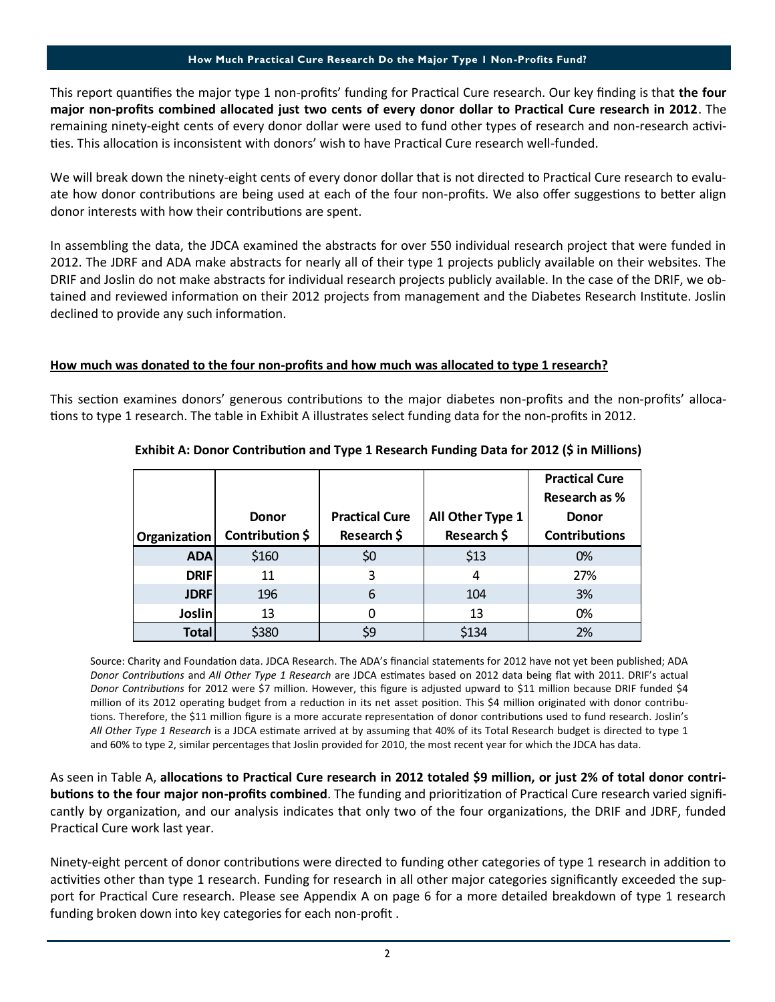This report quantifies the major type 1 non-profits' funding for Practical Cure research. Our key finding is that the four **major non-profits combined allocated just two cents of every donor dollar to Practical Cure research in 2012. The** remaining ninety-eight cents of every donor dollar were used to fund other types of research and non-research activities. This allocation is inconsistent with donors' wish to have Practical Cure research well-funded.

We will break down the ninety-eight cents of every donor dollar that is not directed to Practical Cure research to evaluate how donor contributions are being used at each of the four non-profits. We also offer suggestions to better align donor interests with how their contributions are spent.

In assembling the data, the JDCA examined the abstracts for over 550 individual research project that were funded in 2012. The JDRF and ADA make abstracts for nearly all of their type 1 projects publicly available on their websites. The DRIF and Joslin do not make abstracts for individual research projects publicly available. In the case of the DRIF, we obtained and reviewed information on their 2012 projects from management and the Diabetes Research Institute. Joslin declined to provide any such information.

#### **How much was donated to the four non-profits and how much was allocated to type 1 research?**

This section examines donors' generous contributions to the major diabetes non-profits and the non-profits' allocations to type 1 research. The table in Exhibit A illustrates select funding data for the non-profits in 2012.

|              |                 |                       |                  | <b>Practical Cure</b> |  |
|--------------|-----------------|-----------------------|------------------|-----------------------|--|
|              |                 |                       |                  | <b>Research as %</b>  |  |
|              | <b>Donor</b>    | <b>Practical Cure</b> | All Other Type 1 | <b>Donor</b>          |  |
| Organization | Contribution \$ | Research \$           | Research \$      | <b>Contributions</b>  |  |
| <b>ADA</b>   | \$160           | \$0                   | \$13             | 0%                    |  |
| <b>DRIF</b>  | 11              | 3                     | 4                | 27%                   |  |
| <b>JDRF</b>  | 196             | 6                     | 104              | 3%                    |  |
| Joslin       | 13              |                       | 13               | 0%                    |  |
| <b>Total</b> | \$380           | \$9                   | \$134            | 2%                    |  |

#### **Exhibit A: Donor Contribution and Type 1 Research Funding Data for 2012 (\$ in Millions)**

Source: Charity and Foundation data. JDCA Research. The ADA's financial statements for 2012 have not yet been published; ADA *Donor Contributions* and *All Other Type 1 Research* are JDCA estimates based on 2012 data being flat with 2011. DRIF's actual *Donor ContribuƟons* for 2012 were \$7 million. However, this figure is adjusted upward to \$11 million because DRIF funded \$4 million of its 2012 operating budget from a reduction in its net asset position. This \$4 million originated with donor contributions. Therefore, the \$11 million figure is a more accurate representation of donor contributions used to fund research. Joslin's All Other Type 1 Research is a JDCA estimate arrived at by assuming that 40% of its Total Research budget is directed to type 1 and 60% to type 2, similar percentages that Joslin provided for 2010, the most recent year for which the JDCA has data.

As seen in Table A, allocations to Practical Cure research in 2012 totaled \$9 million, or just 2% of total donor contri**butions to the four major non-profits combined.** The funding and prioritization of Practical Cure research varied significantly by organization, and our analysis indicates that only two of the four organizations, the DRIF and JDRF, funded Practical Cure work last year.

Ninety-eight percent of donor contributions were directed to funding other categories of type 1 research in addition to activities other than type 1 research. Funding for research in all other major categories significantly exceeded the support for Practical Cure research. Please see Appendix A on page 6 for a more detailed breakdown of type 1 research funding broken down into key categories for each non-profit .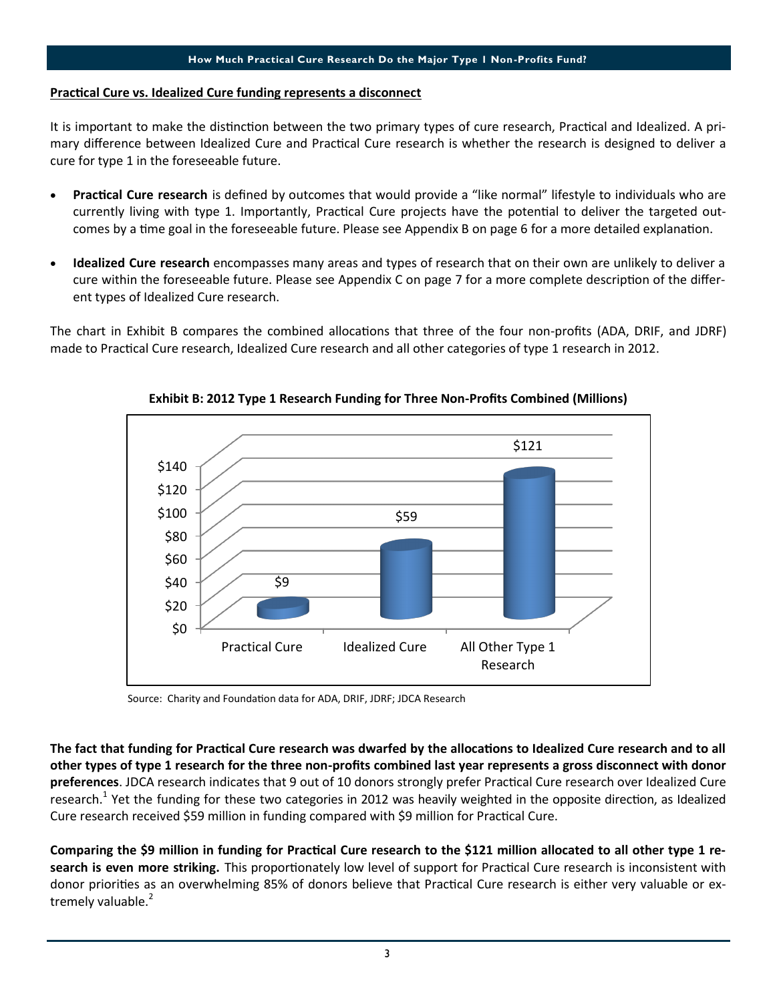#### **Practical Cure vs. Idealized Cure funding represents a disconnect**

It is important to make the distinction between the two primary types of cure research, Practical and Idealized. A primary difference between Idealized Cure and Practical Cure research is whether the research is designed to deliver a cure for type 1 in the foreseeable future.

- Practical Cure research is defined by outcomes that would provide a "like normal" lifestyle to individuals who are currently living with type 1. Importantly, Practical Cure projects have the potential to deliver the targeted outcomes by a time goal in the foreseeable future. Please see Appendix B on page 6 for a more detailed explanation.
- **Idealized Cure research** encompasses many areas and types of research that on their own are unlikely to deliver a cure within the foreseeable future. Please see Appendix C on page 7 for a more complete description of the different types of Idealized Cure research.

The chart in Exhibit B compares the combined allocations that three of the four non-profits (ADA, DRIF, and JDRF) made to Practical Cure research, Idealized Cure research and all other categories of type 1 research in 2012.



**Exhibit B: 2012 Type 1 Research Funding for Three Non-Profits Combined (Millions)**

Source: Charity and Foundation data for ADA, DRIF, JDRF; JDCA Research

The fact that funding for Practical Cure research was dwarfed by the allocations to Idealized Cure research and to all **other types of type 1 research for the three non-profits combined last year represents a gross disconnect with donor**  preferences. JDCA research indicates that 9 out of 10 donors strongly prefer Practical Cure research over Idealized Cure research.<sup>1</sup> Yet the funding for these two categories in 2012 was heavily weighted in the opposite direction, as Idealized Cure research received \$59 million in funding compared with \$9 million for Practical Cure.

Comparing the \$9 million in funding for Practical Cure research to the \$121 million allocated to all other type 1 research is even more striking. This proportionately low level of support for Practical Cure research is inconsistent with donor priorities as an overwhelming 85% of donors believe that Practical Cure research is either very valuable or extremely valuable.<sup>2</sup>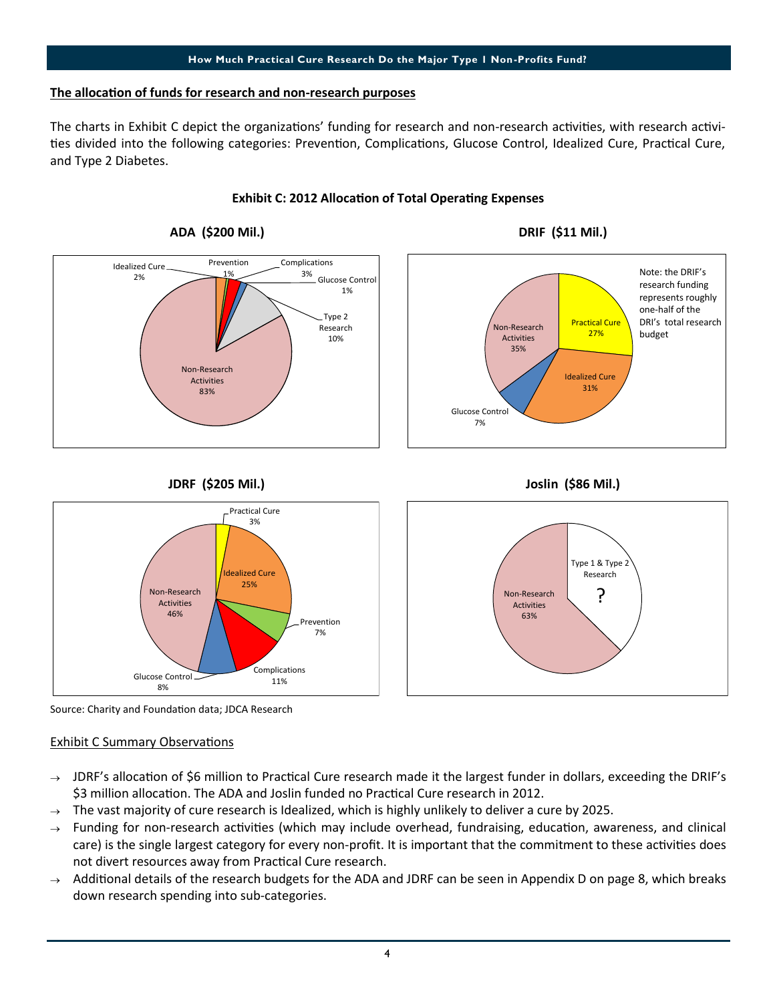#### **The allocaƟon of funds for research and non-research purposes**

The charts in Exhibit C depict the organizations' funding for research and non-research activities, with research activities divided into the following categories: Prevention, Complications, Glucose Control, Idealized Cure, Practical Cure, and Type 2 Diabetes.

#### **ADA (\$200 Mil.) DRIF (\$11 Mil.) JDRF (\$205 Mil.) Joslin (\$86 Mil.)** Idealized Cure 2% Prevention 1% Complications 3% Glucose Control 1% Type 2 Research 10% Non-Research Activities 83% Practical Cure 27% Idealized Cure 31% Glucose Control 7% Non-Research Activities 35% Note: the DRIF's research funding represents roughly one-half of the DRI's total research budget

#### **Exhibit C: 2012 Allocation of Total Operating Expenses**





Source: Charity and Foundation data; JDCA Research

#### **Exhibit C Summary Observations**

- $\rightarrow$  JDRF's allocation of \$6 million to Practical Cure research made it the largest funder in dollars, exceeding the DRIF's \$3 million allocation. The ADA and Joslin funded no Practical Cure research in 2012.
- The vast majority of cure research is Idealized, which is highly unlikely to deliver a cure by 2025.
- $\rightarrow$  Funding for non-research activities (which may include overhead, fundraising, education, awareness, and clinical care) is the single largest category for every non-profit. It is important that the commitment to these activities does not divert resources away from Practical Cure research.
- $\rightarrow$  Additional details of the research budgets for the ADA and JDRF can be seen in Appendix D on page 8, which breaks down research spending into sub-categories.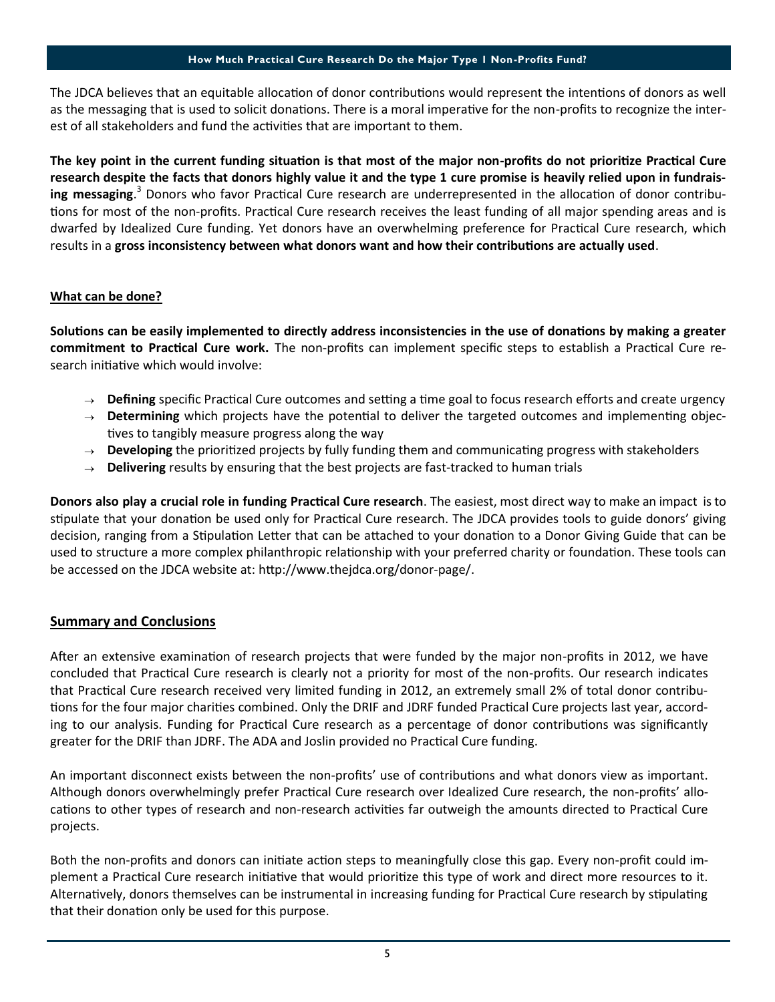The JDCA believes that an equitable allocation of donor contributions would represent the intentions of donors as well as the messaging that is used to solicit donations. There is a moral imperative for the non-profits to recognize the interest of all stakeholders and fund the activities that are important to them.

The key point in the current funding situation is that most of the major non-profits do not prioritize Practical Cure **research despite the facts that donors highly value it and the type 1 cure promise is heavily relied upon in fundrais**ing messaging.<sup>3</sup> Donors who favor Practical Cure research are underrepresented in the allocation of donor contributions for most of the non-profits. Practical Cure research receives the least funding of all major spending areas and is dwarfed by Idealized Cure funding. Yet donors have an overwhelming preference for Practical Cure research, which results in a gross inconsistency between what donors want and how their contributions are actually used.

#### **What can be done?**

Solutions can be easily implemented to directly address inconsistencies in the use of donations by making a greater **commitment to Practical Cure work.** The non-profits can implement specific steps to establish a Practical Cure research initiative which would involve:

- $\rightarrow$  **Defining** specific Practical Cure outcomes and setting a time goal to focus research efforts and create urgency
- $\rightarrow$  **Determining** which projects have the potential to deliver the targeted outcomes and implementing objectives to tangibly measure progress along the way
- $\rightarrow$  **Developing** the prioritized projects by fully funding them and communicating progress with stakeholders
- $\rightarrow$  **Delivering** results by ensuring that the best projects are fast-tracked to human trials

**Donors also play a crucial role in funding Practical Cure research**. The easiest, most direct way to make an impact is to stipulate that your donation be used only for Practical Cure research. The JDCA provides tools to guide donors' giving decision, ranging from a Stipulation Letter that can be attached to your donation to a Donor Giving Guide that can be used to structure a more complex philanthropic relationship with your preferred charity or foundation. These tools can be accessed on the JDCA website at: http://www.thejdca.org/donor-page/.

#### **Summary and Conclusions**

After an extensive examination of research projects that were funded by the major non-profits in 2012, we have concluded that Practical Cure research is clearly not a priority for most of the non-profits. Our research indicates that Practical Cure research received very limited funding in 2012, an extremely small 2% of total donor contributions for the four major charities combined. Only the DRIF and JDRF funded Practical Cure projects last year, according to our analysis. Funding for Practical Cure research as a percentage of donor contributions was significantly greater for the DRIF than JDRF. The ADA and Joslin provided no Practical Cure funding.

An important disconnect exists between the non-profits' use of contributions and what donors view as important. Although donors overwhelmingly prefer Practical Cure research over Idealized Cure research, the non-profits' allocations to other types of research and non-research activities far outweigh the amounts directed to Practical Cure projects.

Both the non-profits and donors can initiate action steps to meaningfully close this gap. Every non-profit could implement a Practical Cure research initiative that would prioritize this type of work and direct more resources to it. Alternatively, donors themselves can be instrumental in increasing funding for Practical Cure research by stipulating that their donation only be used for this purpose.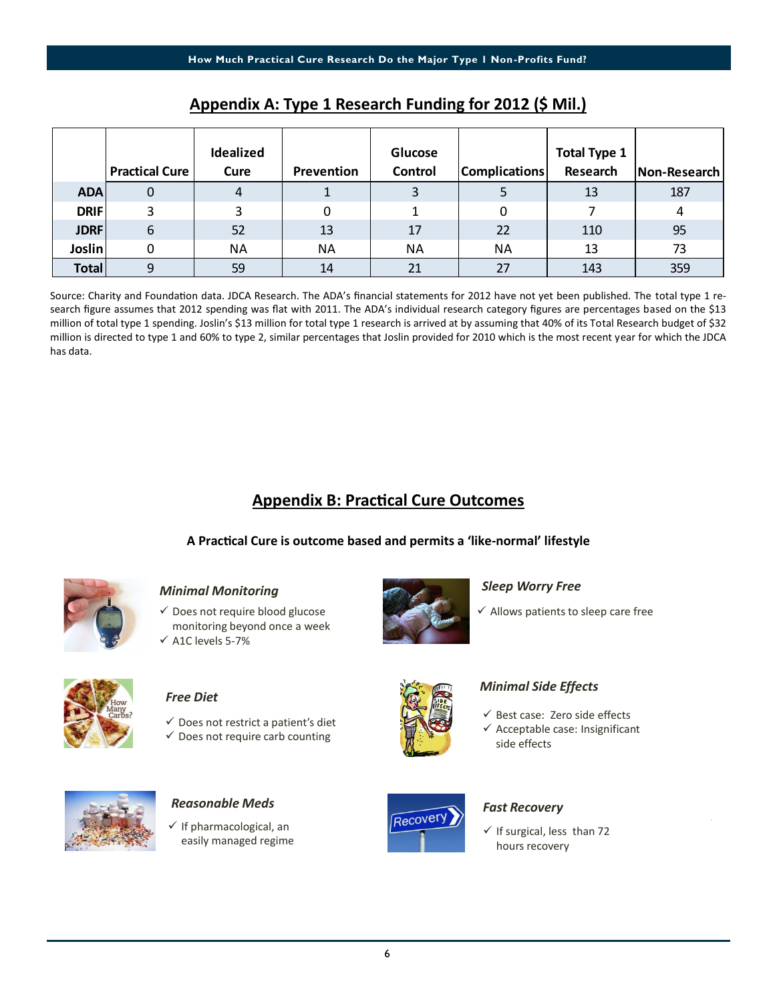|             | <b>Practical Cure</b> | Idealized<br>Cure | Prevention | Glucose<br>Control | <b>Complications</b> | <b>Total Type 1</b><br>Research | Non-Research |
|-------------|-----------------------|-------------------|------------|--------------------|----------------------|---------------------------------|--------------|
| <b>ADA</b>  | 0                     | 4                 |            | 3                  |                      | 13                              | 187          |
| <b>DRIF</b> | 3                     | 3                 | 0          |                    | 0                    |                                 | 4            |
| <b>JDRF</b> | 6                     | 52                | 13         | 17                 | 22                   | 110                             | 95           |
| Joslin      |                       | ΝA                | NA         | <b>NA</b>          | <b>NA</b>            | 13                              | 73           |
| Total       | 9                     | 59                | 14         | 21                 | 27                   | 143                             | 359          |

#### **Appendix A: Type 1 Research Funding for 2012 (\$ Mil.)**

Source: Charity and Foundation data. JDCA Research. The ADA's financial statements for 2012 have not yet been published. The total type 1 research figure assumes that 2012 spending was flat with 2011. The ADA's individual research category figures are percentages based on the \$13 million of total type 1 spending. Joslin's \$13 million for total type 1 research is arrived at by assuming that 40% of its Total Research budget of \$32 million is directed to type 1 and 60% to type 2, similar percentages that Joslin provided for 2010 which is the most recent year for which the JDCA has data.

### **Appendix B: Practical Cure Outcomes**

#### **A PracƟcal Cure is outcome based and permits a 'like-normal' lifestyle**



#### *Minimal Monitoring*

 $\checkmark$  Does not require blood glucose monitoring beyond once a week  $\checkmark$  A1C levels 5-7%



#### *Sleep Worry Free*

 $\checkmark$  Allows patients to sleep care free



#### *Free Diet*

- $\checkmark$  Does not restrict a patient's diet
- $\checkmark$  Does not require carb counting



 $\checkmark$  If pharmacological, an easily managed regime



side effects

 $\checkmark$  If surgical, less than 72 hours recovery

 $\checkmark$  Best case: Zero side effects  $\checkmark$  Acceptable case: Insignificant

*Minimal Side Effects*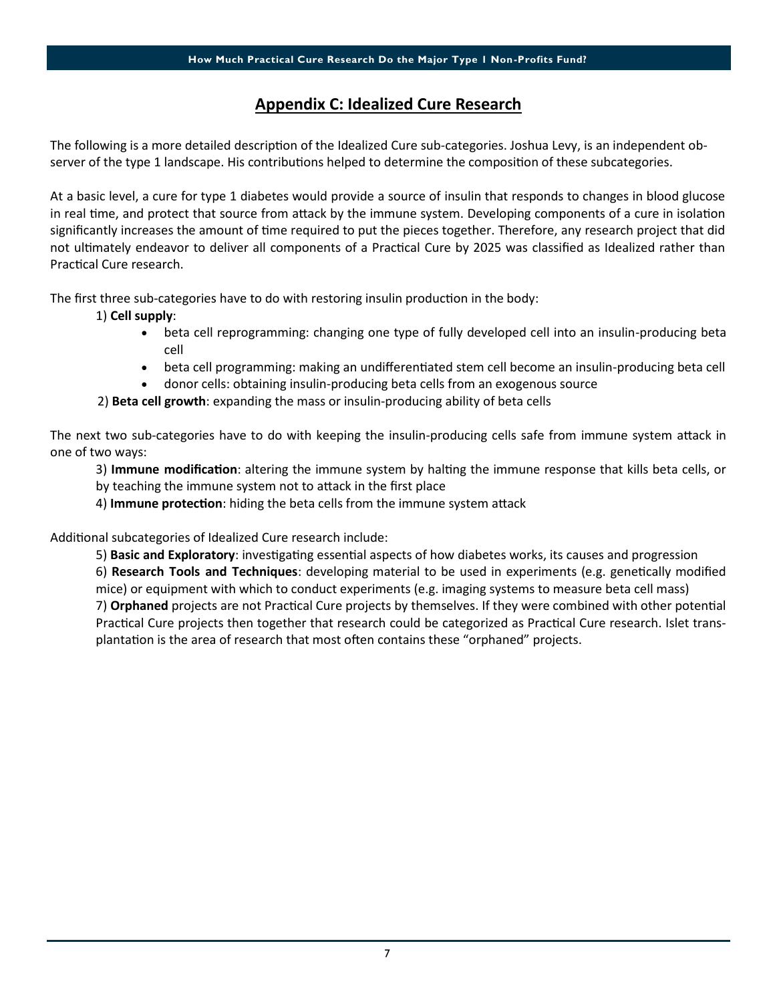### **Appendix C: Idealized Cure Research**

The following is a more detailed description of the Idealized Cure sub-categories. Joshua Levy, is an independent observer of the type 1 landscape. His contributions helped to determine the composition of these subcategories.

At a basic level, a cure for type 1 diabetes would provide a source of insulin that responds to changes in blood glucose in real time, and protect that source from attack by the immune system. Developing components of a cure in isolation significantly increases the amount of time required to put the pieces together. Therefore, any research project that did not ultimately endeavor to deliver all components of a Practical Cure by 2025 was classified as Idealized rather than Practical Cure research.

The first three sub-categories have to do with restoring insulin production in the body:

#### 1) **Cell supply**:

- beta cell reprogramming: changing one type of fully developed cell into an insulin-producing beta cell
- beta cell programming: making an undifferentiated stem cell become an insulin-producing beta cell
- donor cells: obtaining insulin-producing beta cells from an exogenous source
- 2) **Beta cell growth**: expanding the mass or insulin-producing ability of beta cells

The next two sub-categories have to do with keeping the insulin-producing cells safe from immune system attack in one of two ways:

3) Immune modification: altering the immune system by halting the immune response that kills beta cells, or by teaching the immune system not to attack in the first place

4) **Immune protection**: hiding the beta cells from the immune system attack

Additional subcategories of Idealized Cure research include:

5) **Basic and Exploratory**: investigating essential aspects of how diabetes works, its causes and progression

6) **Research Tools and Techniques**: developing material to be used in experiments (e.g. geneƟcally modified mice) or equipment with which to conduct experiments (e.g. imaging systems to measure beta cell mass) 7) **Orphaned** projects are not Practical Cure projects by themselves. If they were combined with other potential Practical Cure projects then together that research could be categorized as Practical Cure research. Islet transplantation is the area of research that most often contains these "orphaned" projects.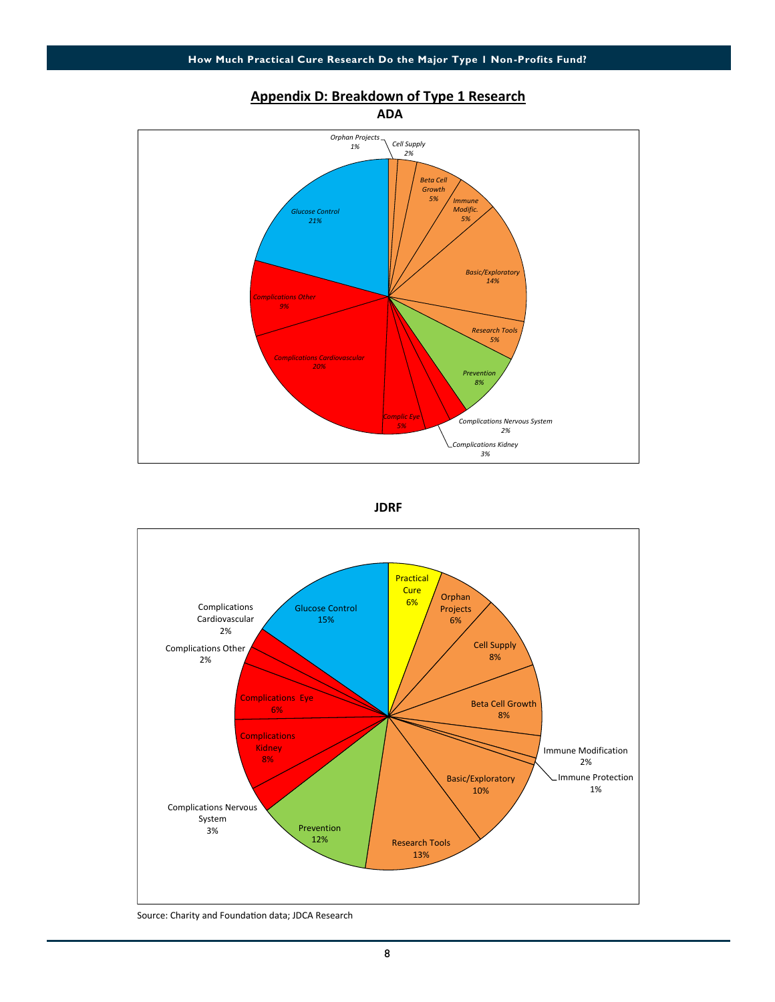

#### **Appendix D: Breakdown of Type 1 Research**